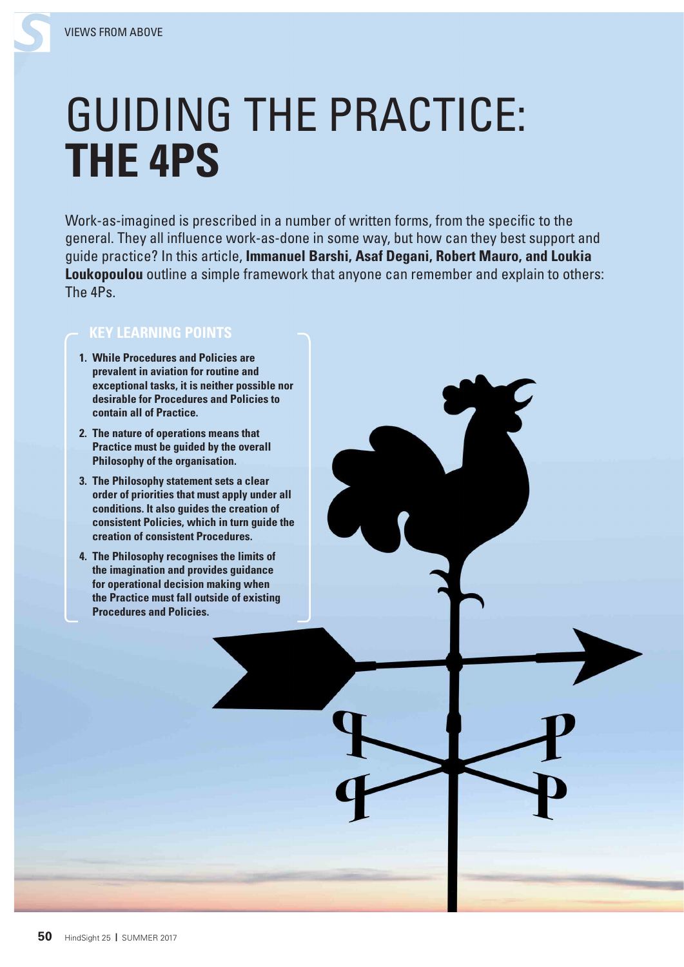## GUIDING THE PRACTICE: **THE 4PS**

Work-as-imagined is prescribed in a number of written forms, from the specific to the general. They all influence work-as-done in some way, but how can they best support and guide practice? In this article, **Immanuel Barshi, Asaf Degani, Robert Mauro, and Loukia Loukopoulou** outline a simple framework that anyone can remember and explain to others: The 4Ps.

## **KEY LEARNING POINTS**

- **1. While Procedures and Policies are prevalent in aviation for routine and exceptional tasks, it is neither possible nor desirable for Procedures and Policies to contain all of Practice.**
- **2. The nature of operations means that Practice must be guided by the overall Philosophy of the organisation.**
- **3. The Philosophy statement sets a clear order of priorities that must apply under all conditions. It also guides the creation of consistent Policies, which in turn guide the creation of consistent Procedures.**
- **4. The Philosophy recognises the limits of the imagination and provides guidance for operational decision making when the Practice must fall outside of existing Procedures and Policies.**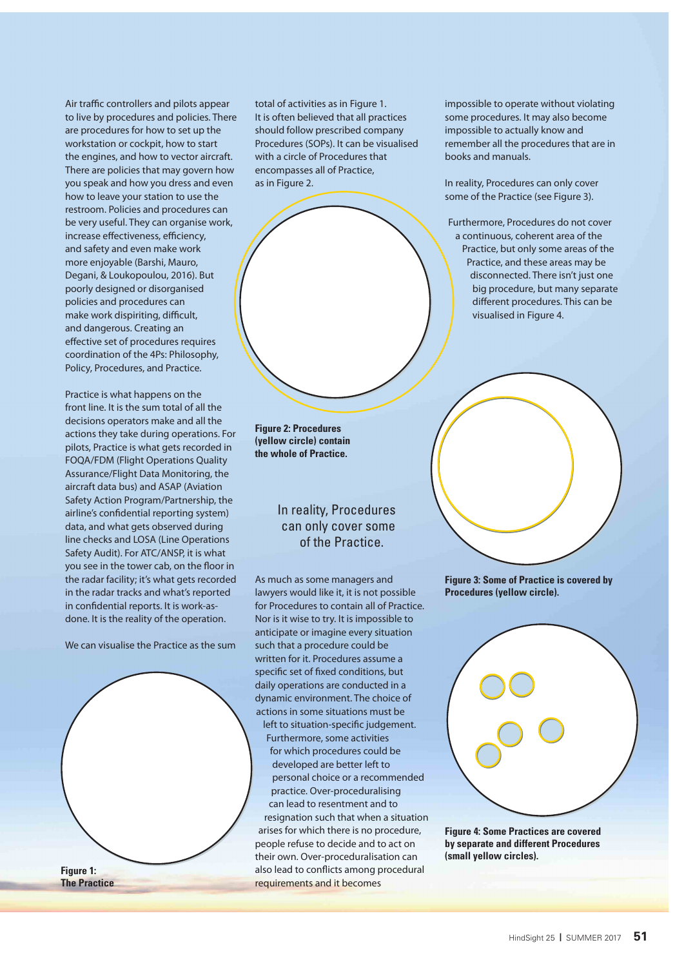Air traffic controllers and pilots appear to live by procedures and policies. There are procedures for how to set up the workstation or cockpit, how to start the engines, and how to vector aircraft. There are policies that may govern how you speak and how you dress and even how to leave your station to use the restroom. Policies and procedures can be very useful. They can organise work, increase effectiveness, efficiency, and safety and even make work more enjoyable (Barshi, Mauro, Degani, & Loukopoulou, 2016). But poorly designed or disorganised policies and procedures can make work dispiriting, difficult, and dangerous. Creating an effective set of procedures requires coordination of the 4Ps: Philosophy, Policy, Procedures, and Practice.

Practice is what happens on the front line. It is the sum total of all the decisions operators make and all the actions they take during operations. For pilots, Practice is what gets recorded in FOQA/FDM (Flight Operations Quality Assurance/Flight Data Monitoring, the aircraft data bus) and ASAP (Aviation Safety Action Program/Partnership, the airline's confidential reporting system) data, and what gets observed during line checks and LOSA (Line Operations Safety Audit). For ATC/ANSP, it is what you see in the tower cab, on the floor in the radar facility; it's what gets recorded in the radar tracks and what's reported in confidential reports. It is work-asdone. It is the reality of the operation.

We can visualise the Practice as the sum

**Figure 1: The Practice** total of activities as in Figure 1. It is often believed that all practices should follow prescribed company Procedures (SOPs). It can be visualised with a circle of Procedures that encompasses all of Practice, as in Figure 2.

impossible to operate without violating some procedures. It may also become impossible to actually know and remember all the procedures that are in books and manuals.

In reality, Procedures can only cover some of the Practice (see Figure 3).

 Furthermore, Procedures do not cover a continuous, coherent area of the Practice, but only some areas of the Practice, and these areas may be disconnected. There isn't just one big procedure, but many separate different procedures. This can be visualised in Figure 4.

**Figure 2: Procedures (yellow circle) contain the whole of Practice.**

## In reality, Procedures can only cover some of the Practice.

As much as some managers and lawyers would like it, it is not possible for Procedures to contain all of Practice. Nor is it wise to try. It is impossible to anticipate or imagine every situation such that a procedure could be written for it. Procedures assume a specific set of fixed conditions, but daily operations are conducted in a dynamic environment. The choice of actions in some situations must be

left to situation-specific judgement. Furthermore, some activities for which procedures could be developed are better left to personal choice or a recommended practice. Over-proceduralising can lead to resentment and to resignation such that when a situation arises for which there is no procedure, people refuse to decide and to act on their own. Over-proceduralisation can also lead to conflicts among procedural requirements and it becomes

**Figure 3: Some of Practice is covered by Procedures (yellow circle).**



**Figure 4: Some Practices are covered by separate and different Procedures (small yellow circles).**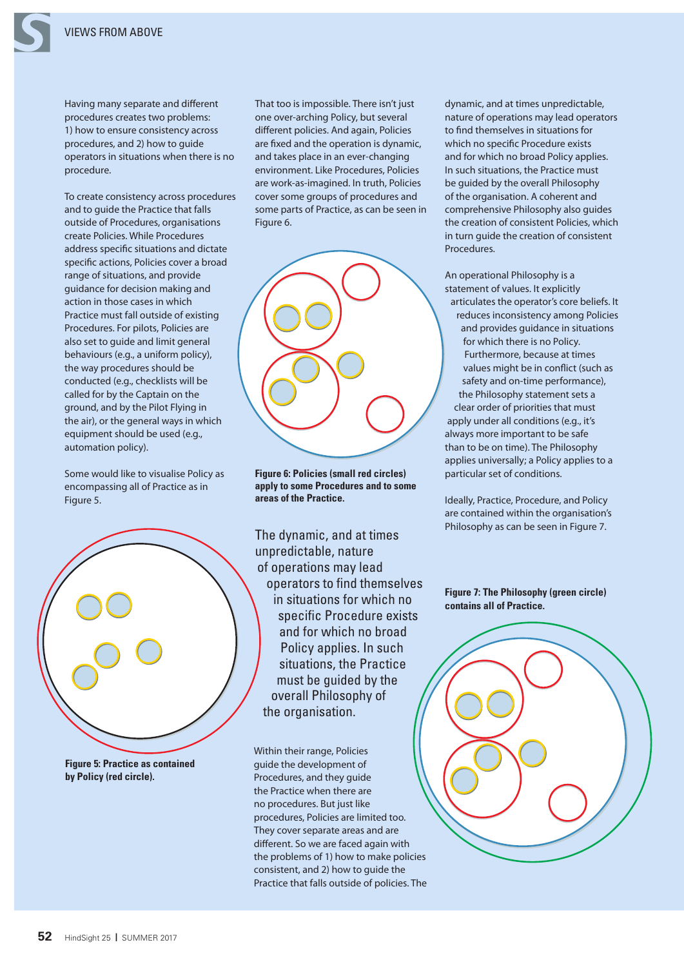Having many separate and different procedures creates two problems: 1) how to ensure consistency across procedures, and 2) how to guide operators in situations when there is no procedure.

To create consistency across procedures and to guide the Practice that falls outside of Procedures, organisations create Policies. While Procedures address specific situations and dictate specific actions, Policies cover a broad range of situations, and provide guidance for decision making and action in those cases in which Practice must fall outside of existing Procedures. For pilots, Policies are also set to guide and limit general behaviours (e.g., a uniform policy), the way procedures should be conducted (e.g., checklists will be called for by the Captain on the ground, and by the Pilot Flying in the air), or the general ways in which equipment should be used (e.g., automation policy).

Some would like to visualise Policy as encompassing all of Practice as in Figure 5.



**Figure 5: Practice as contained by Policy (red circle).**

That too is impossible. There isn't just one over-arching Policy, but several different policies. And again, Policies are fixed and the operation is dynamic, and takes place in an ever-changing environment. Like Procedures, Policies are work-as-imagined. In truth, Policies cover some groups of procedures and some parts of Practice, as can be seen in Figure 6.



**Figure 6: Policies (small red circles) apply to some Procedures and to some areas of the Practice.**

The dynamic, and at times unpredictable, nature of operations may lead operators to find themselves in situations for which no specific Procedure exists and for which no broad Policy applies. In such situations, the Practice must be guided by the overall Philosophy of the organisation.

Within their range, Policies guide the development of Procedures, and they guide the Practice when there are no procedures. But just like procedures, Policies are limited too. They cover separate areas and are different. So we are faced again with the problems of 1) how to make policies consistent, and 2) how to guide the Practice that falls outside of policies. The dynamic, and at times unpredictable, nature of operations may lead operators to find themselves in situations for which no specific Procedure exists and for which no broad Policy applies. In such situations, the Practice must be guided by the overall Philosophy of the organisation. A coherent and comprehensive Philosophy also guides the creation of consistent Policies, which in turn guide the creation of consistent Procedures.

An operational Philosophy is a statement of values. It explicitly articulates the operator's core beliefs. It reduces inconsistency among Policies and provides guidance in situations for which there is no Policy. Furthermore, because at times values might be in conflict (such as safety and on-time performance), the Philosophy statement sets a clear order of priorities that must apply under all conditions (e.g., it's always more important to be safe than to be on time). The Philosophy applies universally; a Policy applies to a particular set of conditions.

Ideally, Practice, Procedure, and Policy are contained within the organisation's Philosophy as can be seen in Figure 7.

**Figure 7: The Philosophy (green circle) contains all of Practice.**